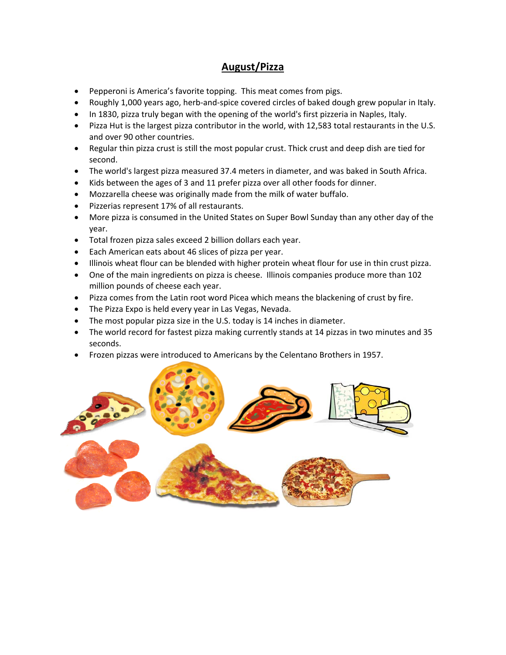#### **August/Pizza**

- Pepperoni is America's favorite topping. This meat comes from pigs.
- Roughly 1,000 years ago, herb-and-spice covered circles of baked dough grew popular in Italy.
- In 1830, pizza truly began with the opening of the world's first pizzeria in Naples, Italy.
- Pizza Hut is the largest pizza contributor in the world, with 12,583 total restaurants in the U.S. and over 90 other countries.
- Regular thin pizza crust is still the most popular crust. Thick crust and deep dish are tied for second.
- The world's largest pizza measured 37.4 meters in diameter, and was baked in South Africa.
- Kids between the ages of 3 and 11 prefer pizza over all other foods for dinner.
- Mozzarella cheese was originally made from the milk of water buffalo.
- Pizzerias represent 17% of all restaurants.
- More pizza is consumed in the United States on Super Bowl Sunday than any other day of the year.
- Total frozen pizza sales exceed 2 billion dollars each year.
- Each American eats about 46 slices of pizza per year.
- Illinois wheat flour can be blended with higher protein wheat flour for use in thin crust pizza.
- One of the main ingredients on pizza is cheese. Illinois companies produce more than 102 million pounds of cheese each year.
- Pizza comes from the Latin root word Picea which means the blackening of crust by fire.
- The Pizza Expo is held every year in Las Vegas, Nevada.
- The most popular pizza size in the U.S. today is 14 inches in diameter.
- The world record for fastest pizza making currently stands at 14 pizzas in two minutes and 35 seconds.
- Frozen pizzas were introduced to Americans by the Celentano Brothers in 1957.

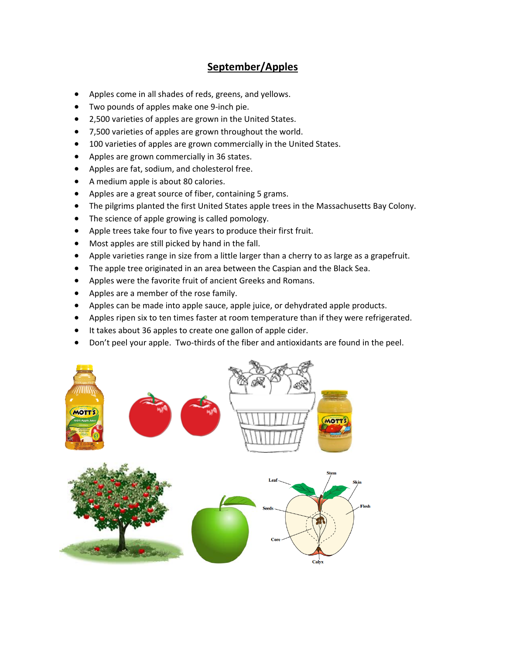## **September/Apples**

- Apples come in all shades of reds, greens, and yellows.
- Two pounds of apples make one 9‐inch pie.
- 2,500 varieties of apples are grown in the United States.
- 7,500 varieties of apples are grown throughout the world.
- 100 varieties of apples are grown commercially in the United States.
- Apples are grown commercially in 36 states.
- Apples are fat, sodium, and cholesterol free.
- A medium apple is about 80 calories.
- Apples are a great source of fiber, containing 5 grams.
- The pilgrims planted the first United States apple trees in the Massachusetts Bay Colony.
- The science of apple growing is called pomology.
- Apple trees take four to five years to produce their first fruit.
- Most apples are still picked by hand in the fall.
- Apple varieties range in size from a little larger than a cherry to as large as a grapefruit.
- The apple tree originated in an area between the Caspian and the Black Sea.
- Apples were the favorite fruit of ancient Greeks and Romans.
- Apples are a member of the rose family.
- Apples can be made into apple sauce, apple juice, or dehydrated apple products.
- Apples ripen six to ten times faster at room temperature than if they were refrigerated.
- It takes about 36 apples to create one gallon of apple cider.
- Don't peel your apple. Two-thirds of the fiber and antioxidants are found in the peel.

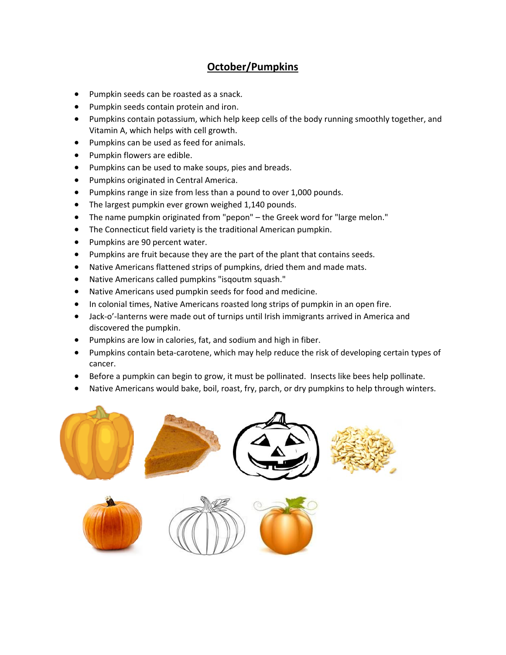# **October/Pumpkins**

- Pumpkin seeds can be roasted as a snack.
- Pumpkin seeds contain protein and iron.
- Pumpkins contain potassium, which help keep cells of the body running smoothly together, and Vitamin A, which helps with cell growth.
- Pumpkins can be used as feed for animals.
- Pumpkin flowers are edible.
- Pumpkins can be used to make soups, pies and breads.
- **•** Pumpkins originated in Central America.
- Pumpkins range in size from less than a pound to over 1,000 pounds.
- The largest pumpkin ever grown weighed 1,140 pounds.
- The name pumpkin originated from "pepon" the Greek word for "large melon."
- The Connecticut field variety is the traditional American pumpkin.
- Pumpkins are 90 percent water.
- Pumpkins are fruit because they are the part of the plant that contains seeds.
- Native Americans flattened strips of pumpkins, dried them and made mats.
- Native Americans called pumpkins "isqoutm squash."
- Native Americans used pumpkin seeds for food and medicine.
- In colonial times, Native Americans roasted long strips of pumpkin in an open fire.
- Jack-o'-lanterns were made out of turnips until Irish immigrants arrived in America and discovered the pumpkin.
- Pumpkins are low in calories, fat, and sodium and high in fiber.
- Pumpkins contain beta-carotene, which may help reduce the risk of developing certain types of cancer.
- Before a pumpkin can begin to grow, it must be pollinated. Insects like bees help pollinate.
- Native Americans would bake, boil, roast, fry, parch, or dry pumpkins to help through winters.





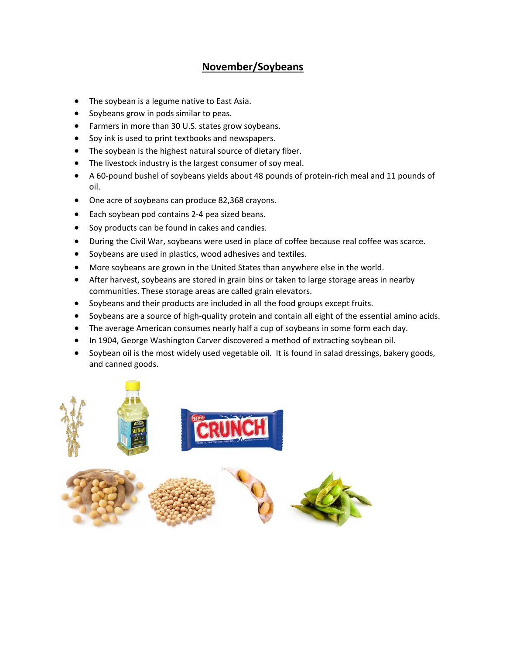## **November/Soybeans**

- The soybean is a legume native to East Asia.
- Soybeans grow in pods similar to peas.
- Farmers in more than 30 U.S. states grow soybeans.
- Soy ink is used to print textbooks and newspapers.
- The soybean is the highest natural source of dietary fiber.
- The livestock industry is the largest consumer of soy meal.
- A 60‐pound bushel of soybeans yields about 48 pounds of protein‐rich meal and 11 pounds of oil.
- One acre of soybeans can produce 82,368 crayons.
- Each soybean pod contains 2-4 pea sized beans.
- Soy products can be found in cakes and candies.
- During the Civil War, soybeans were used in place of coffee because real coffee was scarce.
- Soybeans are used in plastics, wood adhesives and textiles.
- More soybeans are grown in the United States than anywhere else in the world.
- After harvest, soybeans are stored in grain bins or taken to large storage areas in nearby communities. These storage areas are called grain elevators.
- Soybeans and their products are included in all the food groups except fruits.
- Soybeans are a source of high-quality protein and contain all eight of the essential amino acids.
- The average American consumes nearly half a cup of soybeans in some form each day.
- In 1904, George Washington Carver discovered a method of extracting soybean oil.
- Soybean oil is the most widely used vegetable oil. It is found in salad dressings, bakery goods, and canned goods.

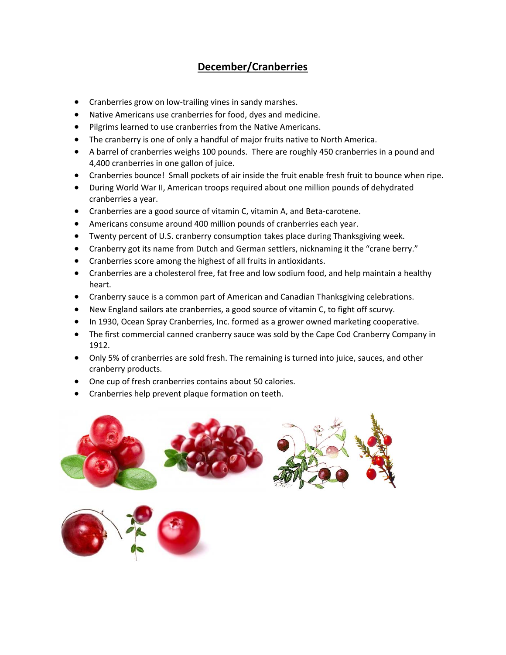# **December/Cranberries**

- Cranberries grow on low-trailing vines in sandy marshes.
- Native Americans use cranberries for food, dyes and medicine.
- Pilgrims learned to use cranberries from the Native Americans.
- The cranberry is one of only a handful of major fruits native to North America.
- A barrel of cranberries weighs 100 pounds. There are roughly 450 cranberries in a pound and 4,400 cranberries in one gallon of juice.
- Cranberries bounce! Small pockets of air inside the fruit enable fresh fruit to bounce when ripe.
- During World War II, American troops required about one million pounds of dehydrated cranberries a year.
- Cranberries are a good source of vitamin C, vitamin A, and Beta-carotene.
- Americans consume around 400 million pounds of cranberries each year.
- Twenty percent of U.S. cranberry consumption takes place during Thanksgiving week.
- Cranberry got its name from Dutch and German settlers, nicknaming it the "crane berry."
- Cranberries score among the highest of all fruits in antioxidants.
- Cranberries are a cholesterol free, fat free and low sodium food, and help maintain a healthy heart.
- Cranberry sauce is a common part of American and Canadian Thanksgiving celebrations.
- New England sailors ate cranberries, a good source of vitamin C, to fight off scurvy.
- In 1930, Ocean Spray Cranberries, Inc. formed as a grower owned marketing cooperative.
- The first commercial canned cranberry sauce was sold by the Cape Cod Cranberry Company in 1912.
- Only 5% of cranberries are sold fresh. The remaining is turned into juice, sauces, and other cranberry products.
- One cup of fresh cranberries contains about 50 calories.
- Cranberries help prevent plaque formation on teeth.



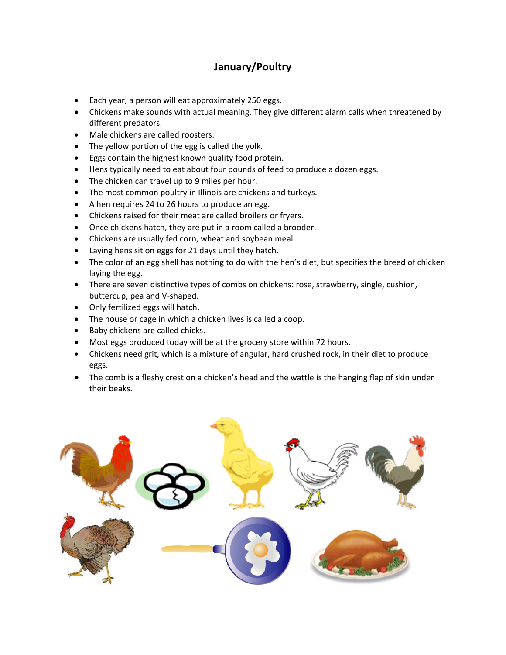### **January/Poultry**

- Each year, a person will eat approximately 250 eggs.
- Chickens make sounds with actual meaning. They give different alarm calls when threatened by different predators.
- Male chickens are called roosters.
- The yellow portion of the egg is called the yolk.
- Eggs contain the highest known quality food protein.
- Hens typically need to eat about four pounds of feed to produce a dozen eggs.
- The chicken can travel up to 9 miles per hour.
- The most common poultry in Illinois are chickens and turkeys.
- A hen requires 24 to 26 hours to produce an egg.
- Chickens raised for their meat are called broilers or fryers.
- Once chickens hatch, they are put in a room called a brooder.
- Chickens are usually fed corn, wheat and soybean meal.
- Laying hens sit on eggs for 21 days until they hatch.
- The color of an egg shell has nothing to do with the hen's diet, but specifies the breed of chicken laying the egg.
- There are seven distinctive types of combs on chickens: rose, strawberry, single, cushion, buttercup, pea and V‐shaped.
- Only fertilized eggs will hatch.
- The house or cage in which a chicken lives is called a coop.
- Baby chickens are called chicks.
- Most eggs produced today will be at the grocery store within 72 hours.
- Chickens need grit, which is a mixture of angular, hard crushed rock, in their diet to produce eggs.
- The comb is a fleshy crest on a chicken's head and the wattle is the hanging flap of skin under their beaks.

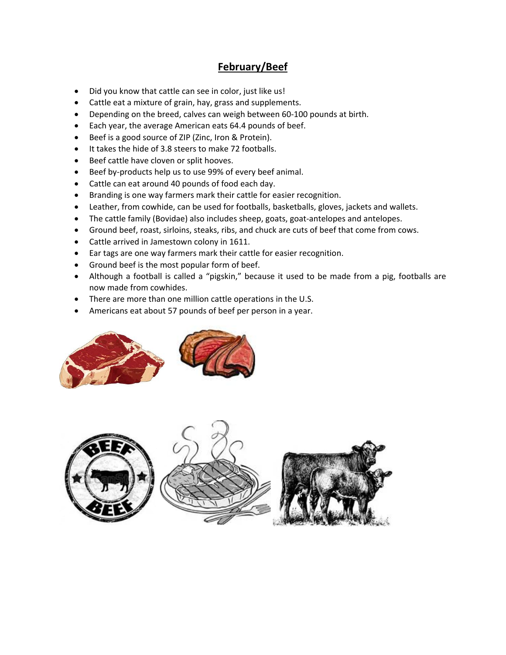### **February/Beef**

- Did you know that cattle can see in color, just like us!
- Cattle eat a mixture of grain, hay, grass and supplements.
- Depending on the breed, calves can weigh between 60-100 pounds at birth.
- Each year, the average American eats 64.4 pounds of beef.
- Beef is a good source of ZIP (Zinc, Iron & Protein).
- It takes the hide of 3.8 steers to make 72 footballs.
- Beef cattle have cloven or split hooves.
- Beef by-products help us to use 99% of every beef animal.
- Cattle can eat around 40 pounds of food each day.
- Branding is one way farmers mark their cattle for easier recognition.
- Leather, from cowhide, can be used for footballs, basketballs, gloves, jackets and wallets.
- The cattle family (Bovidae) also includes sheep, goats, goat-antelopes and antelopes.
- Ground beef, roast, sirloins, steaks, ribs, and chuck are cuts of beef that come from cows.
- Cattle arrived in Jamestown colony in 1611.
- Ear tags are one way farmers mark their cattle for easier recognition.
- Ground beef is the most popular form of beef.
- Although a football is called a "pigskin," because it used to be made from a pig, footballs are now made from cowhides.
- There are more than one million cattle operations in the U.S.
- Americans eat about 57 pounds of beef per person in a year.



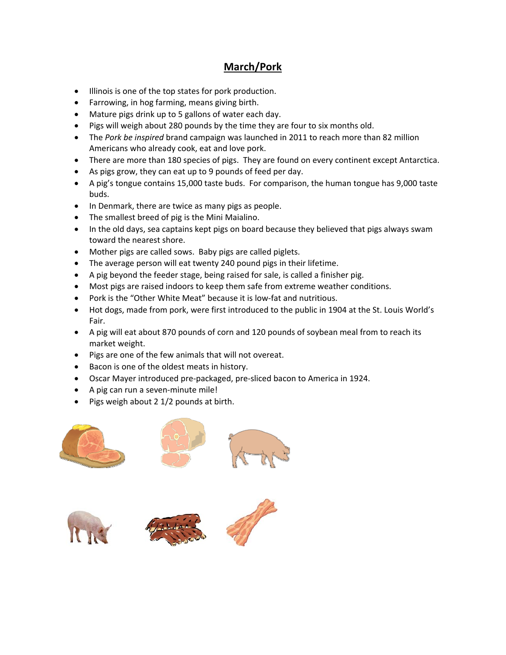# **March/Pork**

- $\bullet$  Illinois is one of the top states for pork production.
- Farrowing, in hog farming, means giving birth.
- Mature pigs drink up to 5 gallons of water each day.
- Pigs will weigh about 280 pounds by the time they are four to six months old.
- The *Pork be inspired* brand campaign was launched in 2011 to reach more than 82 million Americans who already cook, eat and love pork.
- There are more than 180 species of pigs. They are found on every continent except Antarctica.
- As pigs grow, they can eat up to 9 pounds of feed per day.
- A pig's tongue contains 15,000 taste buds. For comparison, the human tongue has 9,000 taste buds.
- In Denmark, there are twice as many pigs as people.
- The smallest breed of pig is the Mini Maialino.
- In the old days, sea captains kept pigs on board because they believed that pigs always swam toward the nearest shore.
- Mother pigs are called sows. Baby pigs are called piglets.
- The average person will eat twenty 240 pound pigs in their lifetime.
- A pig beyond the feeder stage, being raised for sale, is called a finisher pig.
- Most pigs are raised indoors to keep them safe from extreme weather conditions.
- Pork is the "Other White Meat" because it is low-fat and nutritious.
- Hot dogs, made from pork, were first introduced to the public in 1904 at the St. Louis World's Fair.
- A pig will eat about 870 pounds of corn and 120 pounds of soybean meal from to reach its market weight.
- Pigs are one of the few animals that will not overeat.
- Bacon is one of the oldest meats in history.
- Oscar Mayer introduced pre‐packaged, pre‐sliced bacon to America in 1924.
- A pig can run a seven-minute mile!
- $\bullet$  Pigs weigh about 2 1/2 pounds at birth.







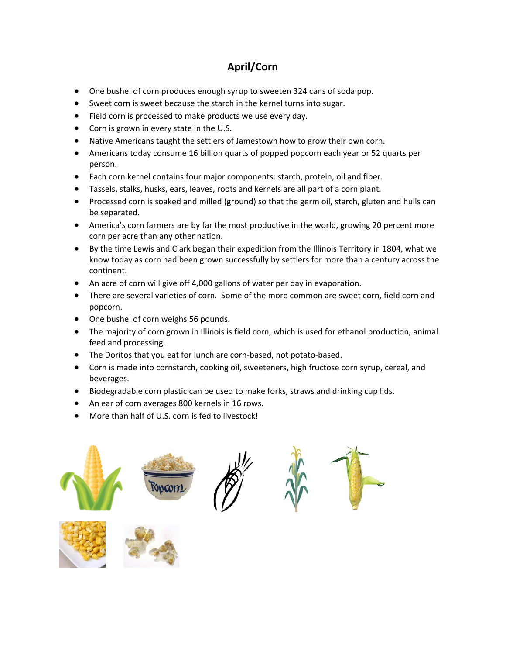# **April/Corn**

- One bushel of corn produces enough syrup to sweeten 324 cans of soda pop.
- Sweet corn is sweet because the starch in the kernel turns into sugar.
- Field corn is processed to make products we use every day.
- Corn is grown in every state in the U.S.
- Native Americans taught the settlers of Jamestown how to grow their own corn.
- Americans today consume 16 billion quarts of popped popcorn each year or 52 quarts per person.
- Each corn kernel contains four major components: starch, protein, oil and fiber.
- Tassels, stalks, husks, ears, leaves, roots and kernels are all part of a corn plant.
- Processed corn is soaked and milled (ground) so that the germ oil, starch, gluten and hulls can be separated.
- America's corn farmers are by far the most productive in the world, growing 20 percent more corn per acre than any other nation.
- By the time Lewis and Clark began their expedition from the Illinois Territory in 1804, what we know today as corn had been grown successfully by settlers for more than a century across the continent.
- An acre of corn will give off 4,000 gallons of water per day in evaporation.
- There are several varieties of corn. Some of the more common are sweet corn, field corn and popcorn.
- One bushel of corn weighs 56 pounds.
- The majority of corn grown in Illinois is field corn, which is used for ethanol production, animal feed and processing.
- The Doritos that you eat for lunch are corn-based, not potato-based.
- Corn is made into cornstarch, cooking oil, sweeteners, high fructose corn syrup, cereal, and beverages.
- Biodegradable corn plastic can be used to make forks, straws and drinking cup lids.
- An ear of corn averages 800 kernels in 16 rows.
- More than half of U.S. corn is fed to livestock!

**College** 

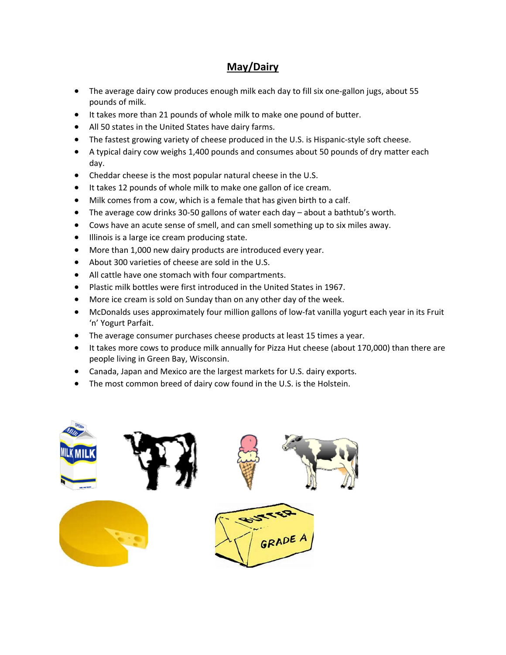## **May/Dairy**

- The average dairy cow produces enough milk each day to fill six one‐gallon jugs, about 55 pounds of milk.
- It takes more than 21 pounds of whole milk to make one pound of butter.
- All 50 states in the United States have dairy farms.
- The fastest growing variety of cheese produced in the U.S. is Hispanic‐style soft cheese.
- A typical dairy cow weighs 1,400 pounds and consumes about 50 pounds of dry matter each day.
- Cheddar cheese is the most popular natural cheese in the U.S.
- It takes 12 pounds of whole milk to make one gallon of ice cream.
- Milk comes from a cow, which is a female that has given birth to a calf.
- The average cow drinks 30‐50 gallons of water each day about a bathtub's worth.
- Cows have an acute sense of smell, and can smell something up to six miles away.
- $\bullet$  Illinois is a large ice cream producing state.
- More than 1,000 new dairy products are introduced every year.
- About 300 varieties of cheese are sold in the U.S.
- All cattle have one stomach with four compartments.
- Plastic milk bottles were first introduced in the United States in 1967.
- More ice cream is sold on Sunday than on any other day of the week.
- McDonalds uses approximately four million gallons of low-fat vanilla yogurt each year in its Fruit 'n' Yogurt Parfait.
- The average consumer purchases cheese products at least 15 times a year.
- It takes more cows to produce milk annually for Pizza Hut cheese (about 170,000) than there are people living in Green Bay, Wisconsin.
- Canada, Japan and Mexico are the largest markets for U.S. dairy exports.
- The most common breed of dairy cow found in the U.S. is the Holstein.